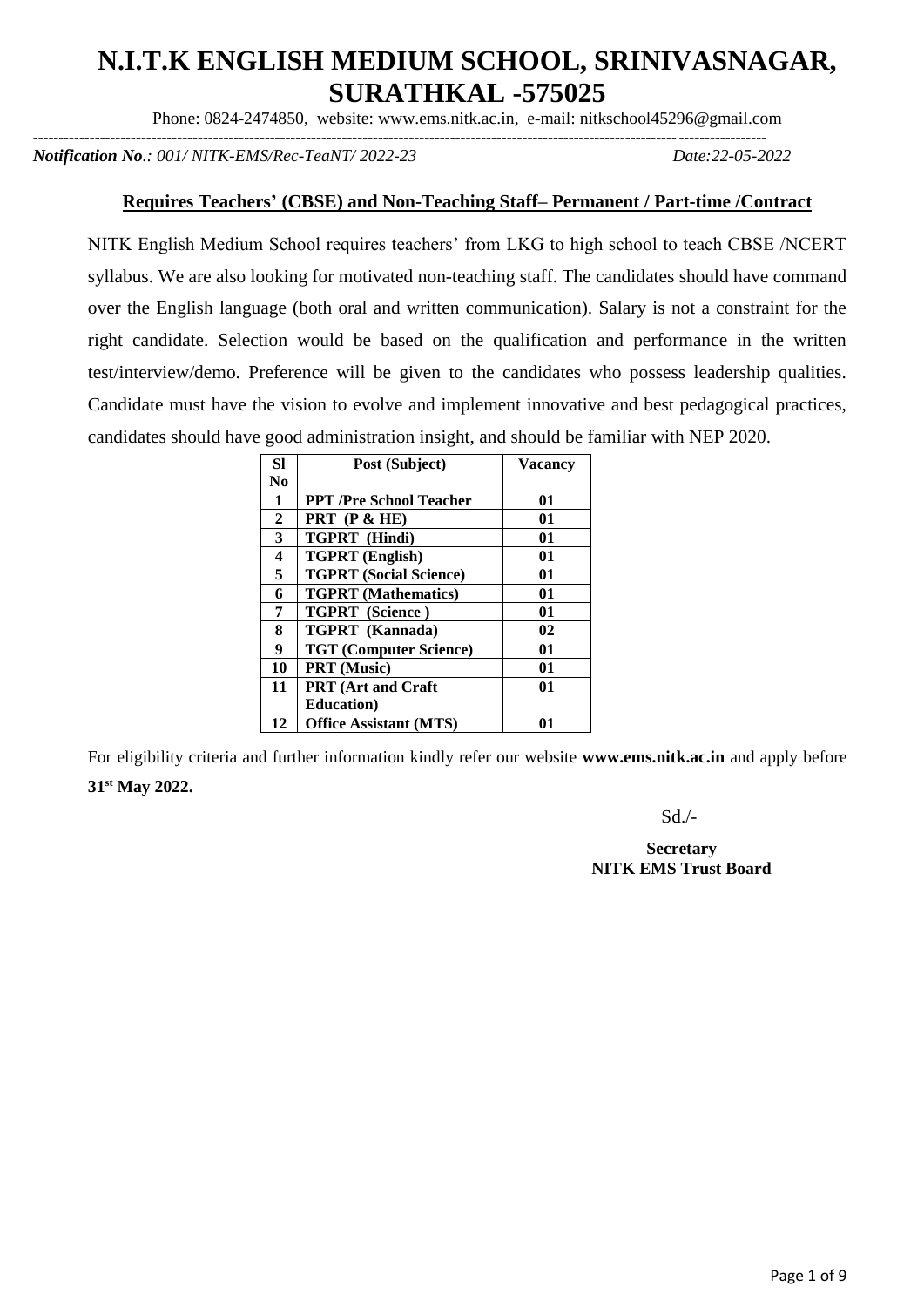# **N.I.T.K ENGLISH MEDIUM SCHOOL, SRINIVASNAGAR, SURATHKAL -575025**

Phone: 0824-2474850, website: www.ems.nitk.ac.in, e-mail: nitkschool45296@gmail.com

----------------------------------------------------------------------------------------------------------------------------------------------

*Notification No.: 001/ NITK-EMS/Rec-TeaNT/ 2022-23 Date:22-05-2022*

### **Requires Teachers' (CBSE) and Non-Teaching Staff– Permanent / Part-time /Contract**

NITK English Medium School requires teachers' from LKG to high school to teach CBSE /NCERT syllabus. We are also looking for motivated non-teaching staff. The candidates should have command over the English language (both oral and written communication). Salary is not a constraint for the right candidate. Selection would be based on the qualification and performance in the written test/interview/demo. Preference will be given to the candidates who possess leadership qualities. Candidate must have the vision to evolve and implement innovative and best pedagogical practices, candidates should have good administration insight, and should be familiar with NEP 2020.

| <b>Sl</b>      | Post (Subject)                 | <b>Vacancy</b> |
|----------------|--------------------------------|----------------|
| N <sub>0</sub> |                                |                |
| 1              | <b>PPT</b> /Pre School Teacher | 01             |
| $\mathbf{2}$   | <b>PRT</b> $(P < HE)$          | 01             |
| 3              | TGPRT (Hindi)                  | 01             |
| 4              | <b>TGPRT</b> (English)         | 01             |
| 5              | <b>TGPRT</b> (Social Science)  | 01             |
| 6              | <b>TGPRT</b> (Mathematics)     | 01             |
| 7              | TGPRT (Science)                | 01             |
| 8              | TGPRT (Kannada)                | 02             |
| 9              | <b>TGT (Computer Science)</b>  | 01             |
| 10             | PRT (Music)                    | 01             |
| 11             | <b>PRT</b> (Art and Craft      | 01             |
|                | <b>Education</b> )             |                |
| 12             | <b>Office Assistant (MTS)</b>  | 01             |

For eligibility criteria and further information kindly refer our website **www.ems.nitk.ac.in** and apply before **31st May 2022.** 

Sd./-

**Secretary NITK EMS Trust Board**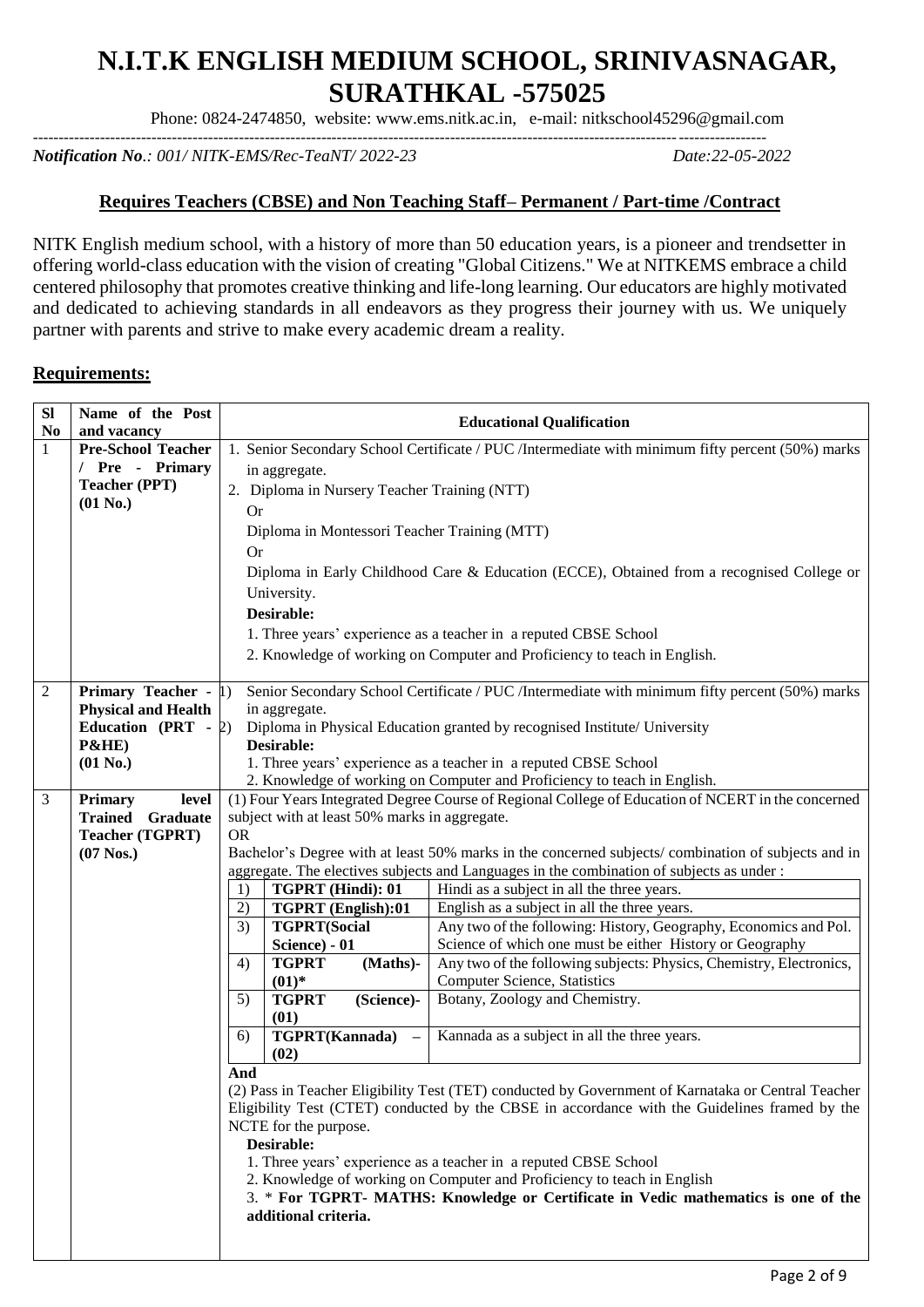# **N.I.T.K ENGLISH MEDIUM SCHOOL, SRINIVASNAGAR, SURATHKAL -575025**

Phone: 0824-2474850, website: www.ems.nitk.ac.in, e-mail: nitkschool45296@gmail.com  $-1\leq i\leq n-1$ 

*Notification No.: 001/ NITK-EMS/Rec-TeaNT/ 2022-23 Date:22-05-2022*

### **Requires Teachers (CBSE) and Non Teaching Staff– Permanent / Part-time /Contract**

NITK English medium school, with a history of more than 50 education years, is a pioneer and trendsetter in offering world-class education with the vision of creating "Global Citizens." We at NITKEMS embrace a child centered philosophy that promotes creative thinking and life-long learning. Our educators are highly motivated and dedicated to achieving standards in all endeavors as they progress their journey with us. We uniquely partner with parents and strive to make every academic dream a reality.

#### **Requirements:**

| <b>SI</b><br>No | Name of the Post<br>and vacancy                    |                                                                                                    |                                                                    | <b>Educational Qualification</b>                                                                                                                                               |  |  |  |  |
|-----------------|----------------------------------------------------|----------------------------------------------------------------------------------------------------|--------------------------------------------------------------------|--------------------------------------------------------------------------------------------------------------------------------------------------------------------------------|--|--|--|--|
| $\mathbf{1}$    | <b>Pre-School Teacher</b>                          |                                                                                                    |                                                                    | 1. Senior Secondary School Certificate / PUC /Intermediate with minimum fifty percent (50%) marks                                                                              |  |  |  |  |
|                 | / Pre - Primary                                    |                                                                                                    | in aggregate.                                                      |                                                                                                                                                                                |  |  |  |  |
|                 | <b>Teacher (PPT)</b>                               |                                                                                                    | 2. Diploma in Nursery Teacher Training (NTT)                       |                                                                                                                                                                                |  |  |  |  |
|                 | $(01$ No.)                                         | <b>Or</b>                                                                                          |                                                                    |                                                                                                                                                                                |  |  |  |  |
|                 |                                                    | Diploma in Montessori Teacher Training (MTT)                                                       |                                                                    |                                                                                                                                                                                |  |  |  |  |
|                 |                                                    | Or                                                                                                 |                                                                    |                                                                                                                                                                                |  |  |  |  |
|                 |                                                    |                                                                                                    |                                                                    |                                                                                                                                                                                |  |  |  |  |
|                 |                                                    |                                                                                                    |                                                                    | Diploma in Early Childhood Care & Education (ECCE), Obtained from a recognised College or                                                                                      |  |  |  |  |
|                 |                                                    |                                                                                                    | University.                                                        |                                                                                                                                                                                |  |  |  |  |
|                 |                                                    |                                                                                                    | Desirable:                                                         |                                                                                                                                                                                |  |  |  |  |
|                 |                                                    |                                                                                                    |                                                                    | 1. Three years' experience as a teacher in a reputed CBSE School                                                                                                               |  |  |  |  |
|                 |                                                    |                                                                                                    |                                                                    | 2. Knowledge of working on Computer and Proficiency to teach in English.                                                                                                       |  |  |  |  |
| 2               | Primary Teacher - 1)                               |                                                                                                    |                                                                    | Senior Secondary School Certificate / PUC /Intermediate with minimum fifty percent (50%) marks                                                                                 |  |  |  |  |
|                 | <b>Physical and Health</b>                         |                                                                                                    | in aggregate.                                                      |                                                                                                                                                                                |  |  |  |  |
|                 | Education (PRT - $\sqrt{2}$ )                      |                                                                                                    |                                                                    | Diploma in Physical Education granted by recognised Institute/ University                                                                                                      |  |  |  |  |
|                 | P&HE)                                              |                                                                                                    | Desirable:                                                         |                                                                                                                                                                                |  |  |  |  |
|                 | $(01$ No.)                                         |                                                                                                    |                                                                    | 1. Three years' experience as a teacher in a reputed CBSE School                                                                                                               |  |  |  |  |
|                 |                                                    |                                                                                                    |                                                                    | 2. Knowledge of working on Computer and Proficiency to teach in English.<br>(1) Four Years Integrated Degree Course of Regional College of Education of NCERT in the concerned |  |  |  |  |
| 3               | <b>Primary</b><br>level<br><b>Trained Graduate</b> |                                                                                                    | subject with at least 50% marks in aggregate.                      |                                                                                                                                                                                |  |  |  |  |
|                 | Teacher (TGPRT)                                    | <b>OR</b>                                                                                          |                                                                    |                                                                                                                                                                                |  |  |  |  |
|                 | $(07$ Nos.)                                        | Bachelor's Degree with at least 50% marks in the concerned subjects/combination of subjects and in |                                                                    |                                                                                                                                                                                |  |  |  |  |
|                 |                                                    |                                                                                                    |                                                                    | aggregate. The electives subjects and Languages in the combination of subjects as under :                                                                                      |  |  |  |  |
|                 |                                                    | 1)                                                                                                 | TGPRT (Hindi): 01                                                  | Hindi as a subject in all the three years.                                                                                                                                     |  |  |  |  |
|                 |                                                    | 2)                                                                                                 | English as a subject in all the three years.<br>TGPRT (English):01 |                                                                                                                                                                                |  |  |  |  |
|                 |                                                    | 3)                                                                                                 | <b>TGPRT(Social</b>                                                | Any two of the following: History, Geography, Economics and Pol.                                                                                                               |  |  |  |  |
|                 |                                                    |                                                                                                    | Science) - 01                                                      | Science of which one must be either History or Geography                                                                                                                       |  |  |  |  |
|                 |                                                    | 4)                                                                                                 | <b>TGPRT</b><br>(Maths)-                                           | Any two of the following subjects: Physics, Chemistry, Electronics,                                                                                                            |  |  |  |  |
|                 |                                                    |                                                                                                    | $(01)*$                                                            | <b>Computer Science, Statistics</b>                                                                                                                                            |  |  |  |  |
|                 |                                                    | 5)                                                                                                 | <b>TGPRT</b><br>(Science)-                                         | Botany, Zoology and Chemistry.                                                                                                                                                 |  |  |  |  |
|                 |                                                    | 6)                                                                                                 | (01)<br>TGPRT(Kannada)                                             | Kannada as a subject in all the three years.                                                                                                                                   |  |  |  |  |
|                 |                                                    |                                                                                                    | (02)                                                               |                                                                                                                                                                                |  |  |  |  |
|                 |                                                    | And                                                                                                |                                                                    |                                                                                                                                                                                |  |  |  |  |
|                 |                                                    |                                                                                                    |                                                                    | (2) Pass in Teacher Eligibility Test (TET) conducted by Government of Karnataka or Central Teacher                                                                             |  |  |  |  |
|                 |                                                    |                                                                                                    |                                                                    | Eligibility Test (CTET) conducted by the CBSE in accordance with the Guidelines framed by the                                                                                  |  |  |  |  |
|                 |                                                    | NCTE for the purpose.                                                                              |                                                                    |                                                                                                                                                                                |  |  |  |  |
|                 |                                                    |                                                                                                    | Desirable:                                                         |                                                                                                                                                                                |  |  |  |  |
|                 |                                                    |                                                                                                    |                                                                    | 1. Three years' experience as a teacher in a reputed CBSE School                                                                                                               |  |  |  |  |
|                 |                                                    |                                                                                                    |                                                                    | 2. Knowledge of working on Computer and Proficiency to teach in English                                                                                                        |  |  |  |  |
|                 |                                                    |                                                                                                    | additional criteria.                                               | 3. * For TGPRT- MATHS: Knowledge or Certificate in Vedic mathematics is one of the                                                                                             |  |  |  |  |
|                 |                                                    |                                                                                                    |                                                                    |                                                                                                                                                                                |  |  |  |  |
|                 |                                                    |                                                                                                    |                                                                    |                                                                                                                                                                                |  |  |  |  |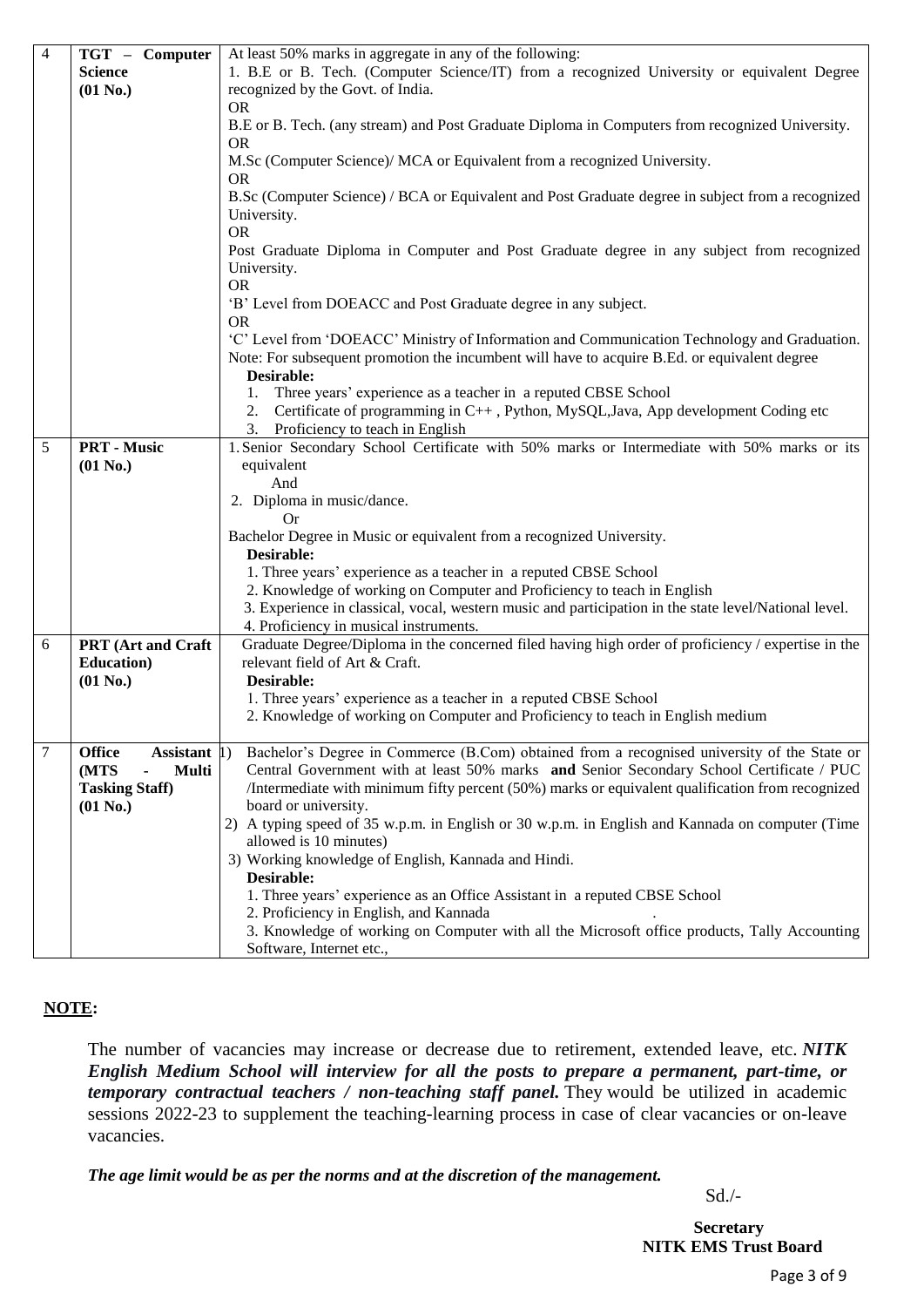| 4 | TGT - Computer                         | At least 50% marks in aggregate in any of the following:                                              |
|---|----------------------------------------|-------------------------------------------------------------------------------------------------------|
|   | <b>Science</b>                         | 1. B.E or B. Tech. (Computer Science/IT) from a recognized University or equivalent Degree            |
|   | $(01$ No.)                             | recognized by the Govt. of India.                                                                     |
|   |                                        | <b>OR</b>                                                                                             |
|   |                                        | B.E or B. Tech. (any stream) and Post Graduate Diploma in Computers from recognized University.       |
|   |                                        | <b>OR</b>                                                                                             |
|   |                                        | M.Sc (Computer Science)/ MCA or Equivalent from a recognized University.                              |
|   |                                        | <b>OR</b>                                                                                             |
|   |                                        | B.Sc (Computer Science) / BCA or Equivalent and Post Graduate degree in subject from a recognized     |
|   |                                        | University.                                                                                           |
|   |                                        | <b>OR</b>                                                                                             |
|   |                                        | Post Graduate Diploma in Computer and Post Graduate degree in any subject from recognized             |
|   |                                        |                                                                                                       |
|   |                                        | University.<br><b>OR</b>                                                                              |
|   |                                        |                                                                                                       |
|   |                                        | 'B' Level from DOEACC and Post Graduate degree in any subject.                                        |
|   |                                        | <b>OR</b>                                                                                             |
|   |                                        | 'C' Level from 'DOEACC' Ministry of Information and Communication Technology and Graduation.          |
|   |                                        | Note: For subsequent promotion the incumbent will have to acquire B.Ed. or equivalent degree          |
|   |                                        | Desirable:                                                                                            |
|   |                                        | Three years' experience as a teacher in a reputed CBSE School<br>1.                                   |
|   |                                        | Certificate of programming in C++, Python, MySQL, Java, App development Coding etc<br>2.              |
|   |                                        | 3. Proficiency to teach in English                                                                    |
| 5 | <b>PRT</b> - Music                     | 1. Senior Secondary School Certificate with 50% marks or Intermediate with 50% marks or its           |
|   | $(01$ No.)                             | equivalent                                                                                            |
|   |                                        | And                                                                                                   |
|   |                                        | 2. Diploma in music/dance.                                                                            |
|   |                                        | 0r                                                                                                    |
|   |                                        | Bachelor Degree in Music or equivalent from a recognized University.                                  |
|   |                                        | Desirable:                                                                                            |
|   |                                        | 1. Three years' experience as a teacher in a reputed CBSE School                                      |
|   |                                        | 2. Knowledge of working on Computer and Proficiency to teach in English                               |
|   |                                        | 3. Experience in classical, vocal, western music and participation in the state level/National level. |
|   |                                        | 4. Proficiency in musical instruments.                                                                |
| 6 | PRT (Art and Craft                     | Graduate Degree/Diploma in the concerned filed having high order of proficiency / expertise in the    |
|   | <b>Education</b> )                     | relevant field of Art & Craft.                                                                        |
|   | $(01$ No.)                             | Desirable:                                                                                            |
|   |                                        | 1. Three years' experience as a teacher in a reputed CBSE School                                      |
|   |                                        | 2. Knowledge of working on Computer and Proficiency to teach in English medium                        |
|   |                                        |                                                                                                       |
| 7 | <b>Office</b><br>Assistant $ 1\rangle$ | Bachelor's Degree in Commerce (B.Com) obtained from a recognised university of the State or           |
|   | (MTS<br><b>Multi</b>                   | Central Government with at least 50% marks and Senior Secondary School Certificate / PUC              |
|   | <b>Tasking Staff)</b>                  | /Intermediate with minimum fifty percent (50%) marks or equivalent qualification from recognized      |
|   | $(01$ No.)                             | board or university.                                                                                  |
|   |                                        | 2) A typing speed of 35 w.p.m. in English or 30 w.p.m. in English and Kannada on computer (Time       |
|   |                                        | allowed is 10 minutes)                                                                                |
|   |                                        |                                                                                                       |
|   |                                        | 3) Working knowledge of English, Kannada and Hindi.                                                   |
|   |                                        | Desirable:                                                                                            |
|   |                                        | 1. Three years' experience as an Office Assistant in a reputed CBSE School                            |
|   |                                        | 2. Proficiency in English, and Kannada                                                                |
|   |                                        | 3. Knowledge of working on Computer with all the Microsoft office products, Tally Accounting          |
|   |                                        | Software, Internet etc.,                                                                              |

#### **NOTE:**

The number of vacancies may increase or decrease due to retirement, extended leave, etc. *NITK English Medium School will interview for all the posts to prepare a permanent, part-time, or temporary contractual teachers / non-teaching staff panel.* They would be utilized in academic sessions 2022-23 to supplement the teaching-learning process in case of clear vacancies or on-leave vacancies.

*The age limit would be as per the norms and at the discretion of the management.*

Sd./-

 **Secretary NITK EMS Trust Board**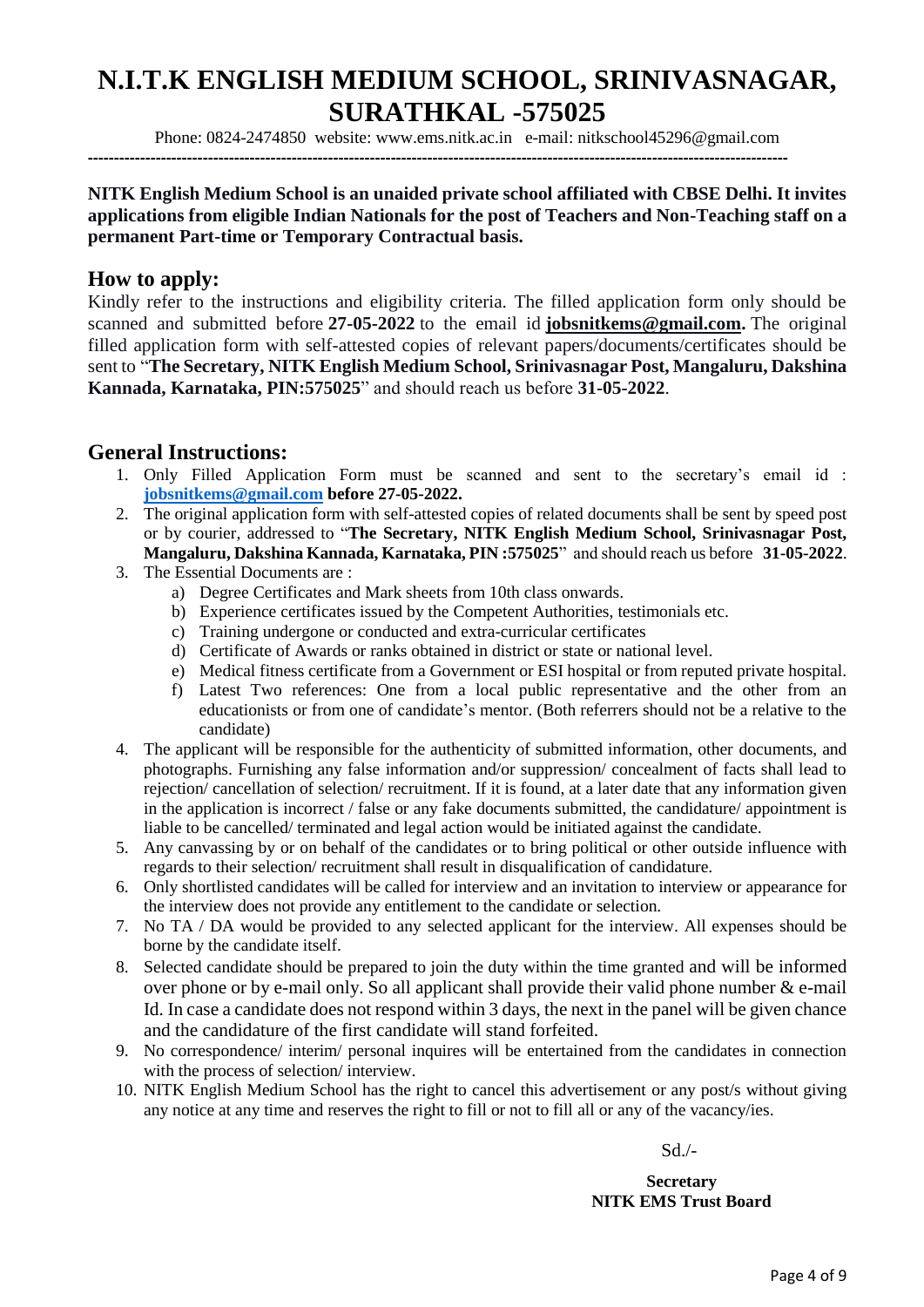# **N.I.T.K ENGLISH MEDIUM SCHOOL, SRINIVASNAGAR, SURATHKAL -575025**

Phone: 0824-2474850 website: www.ems.nitk.ac.in e-mail: nitkschool45296@gmail.com

**--------------------------------------------------------------------------------------------------------------------------------------**

#### **NITK English Medium School is an unaided private school affiliated with CBSE Delhi. It invites applications from eligible Indian Nationals for the post of Teachers and Non-Teaching staff on a permanent Part-time or Temporary Contractual basis.**

## **How to apply:**

Kindly refer to the instructions and eligibility criteria. The filled application form only should be scanned and submitted before **27-05-2022** to the email id **[jobsnitkems@gmail.com.](mailto:jobsnitkems@gmail.com)** The original filled application form with self-attested copies of relevant papers/documents/certificates should be sent to "**The Secretary, NITK English Medium School, Srinivasnagar Post, Mangaluru, Dakshina Kannada, Karnataka, PIN:575025**" and should reach us before **31-05-2022**.

# **General Instructions:**

- 1. Only Filled Application Form must be scanned and sent to the secretary's email id : **[jobsnitkems@gmail.com](mailto:jobsnitkems@gmail.com) before 27-05-2022.**
- 2. The original application form with self-attested copies of related documents shall be sent by speed post or by courier, addressed to "**The Secretary, NITK English Medium School, Srinivasnagar Post, Mangaluru, Dakshina Kannada, Karnataka, PIN :575025**" and should reach us before **31-05-2022**.
- 3. The Essential Documents are :
	- a) Degree Certificates and Mark sheets from 10th class onwards.
	- b) Experience certificates issued by the Competent Authorities, testimonials etc.
	- c) Training undergone or conducted and extra-curricular certificates
	- d) Certificate of Awards or ranks obtained in district or state or national level.
	- e) Medical fitness certificate from a Government or ESI hospital or from reputed private hospital.
	- f) Latest Two references: One from a local public representative and the other from an educationists or from one of candidate's mentor. (Both referrers should not be a relative to the candidate)
- 4. The applicant will be responsible for the authenticity of submitted information, other documents, and photographs. Furnishing any false information and/or suppression/ concealment of facts shall lead to rejection/ cancellation of selection/ recruitment. If it is found, at a later date that any information given in the application is incorrect / false or any fake documents submitted, the candidature/ appointment is liable to be cancelled/ terminated and legal action would be initiated against the candidate.
- 5. Any canvassing by or on behalf of the candidates or to bring political or other outside influence with regards to their selection/ recruitment shall result in disqualification of candidature.
- 6. Only shortlisted candidates will be called for interview and an invitation to interview or appearance for the interview does not provide any entitlement to the candidate or selection.
- 7. No TA / DA would be provided to any selected applicant for the interview. All expenses should be borne by the candidate itself.
- 8. Selected candidate should be prepared to join the duty within the time granted and will be informed over phone or by e-mail only. So all applicant shall provide their valid phone number & e-mail Id. In case a candidate does not respond within 3 days, the next in the panel will be given chance and the candidature of the first candidate will stand forfeited.
- 9. No correspondence/ interim/ personal inquires will be entertained from the candidates in connection with the process of selection/ interview.
- 10. NITK English Medium School has the right to cancel this advertisement or any post/s without giving any notice at any time and reserves the right to fill or not to fill all or any of the vacancy/ies.

Sd./-

**Secretary NITK EMS Trust Board**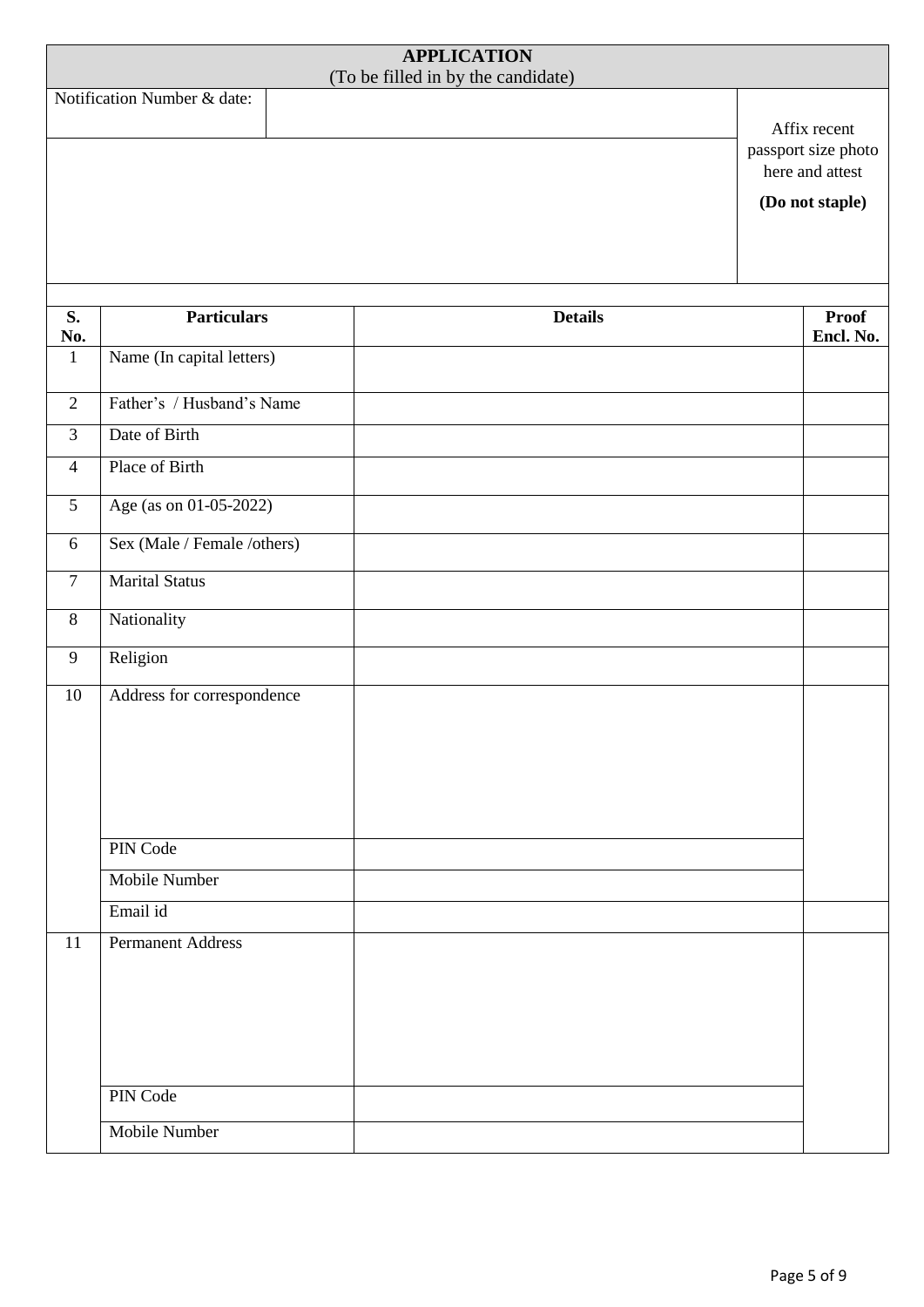| <b>APPLICATION</b><br>(To be filled in by the candidate) |                                      |                |                                                                           |  |  |  |
|----------------------------------------------------------|--------------------------------------|----------------|---------------------------------------------------------------------------|--|--|--|
|                                                          | Notification Number & date:          |                | Affix recent<br>passport size photo<br>here and attest<br>(Do not staple) |  |  |  |
| S.                                                       | <b>Particulars</b>                   | <b>Details</b> | <b>Proof</b>                                                              |  |  |  |
| No.<br>$\mathbf{1}$                                      | Name (In capital letters)            |                | Encl. No.                                                                 |  |  |  |
| 2                                                        | Father's / Husband's Name            |                |                                                                           |  |  |  |
| $\overline{3}$                                           | Date of Birth                        |                |                                                                           |  |  |  |
| $\overline{4}$                                           | Place of Birth                       |                |                                                                           |  |  |  |
| $5\overline{)}$                                          | Age (as on 01-05-2022)               |                |                                                                           |  |  |  |
| 6                                                        | Sex (Male / Female /others)          |                |                                                                           |  |  |  |
| $\tau$                                                   | <b>Marital Status</b>                |                |                                                                           |  |  |  |
| 8                                                        | Nationality                          |                |                                                                           |  |  |  |
| 9                                                        | Religion                             |                |                                                                           |  |  |  |
| 10                                                       | Address for correspondence           |                |                                                                           |  |  |  |
|                                                          | PIN Code                             |                |                                                                           |  |  |  |
|                                                          | <b>Mobile Number</b>                 |                |                                                                           |  |  |  |
| 11                                                       | Email id<br><b>Permanent Address</b> |                |                                                                           |  |  |  |
|                                                          | PIN Code<br>Mobile Number            |                |                                                                           |  |  |  |
|                                                          |                                      |                |                                                                           |  |  |  |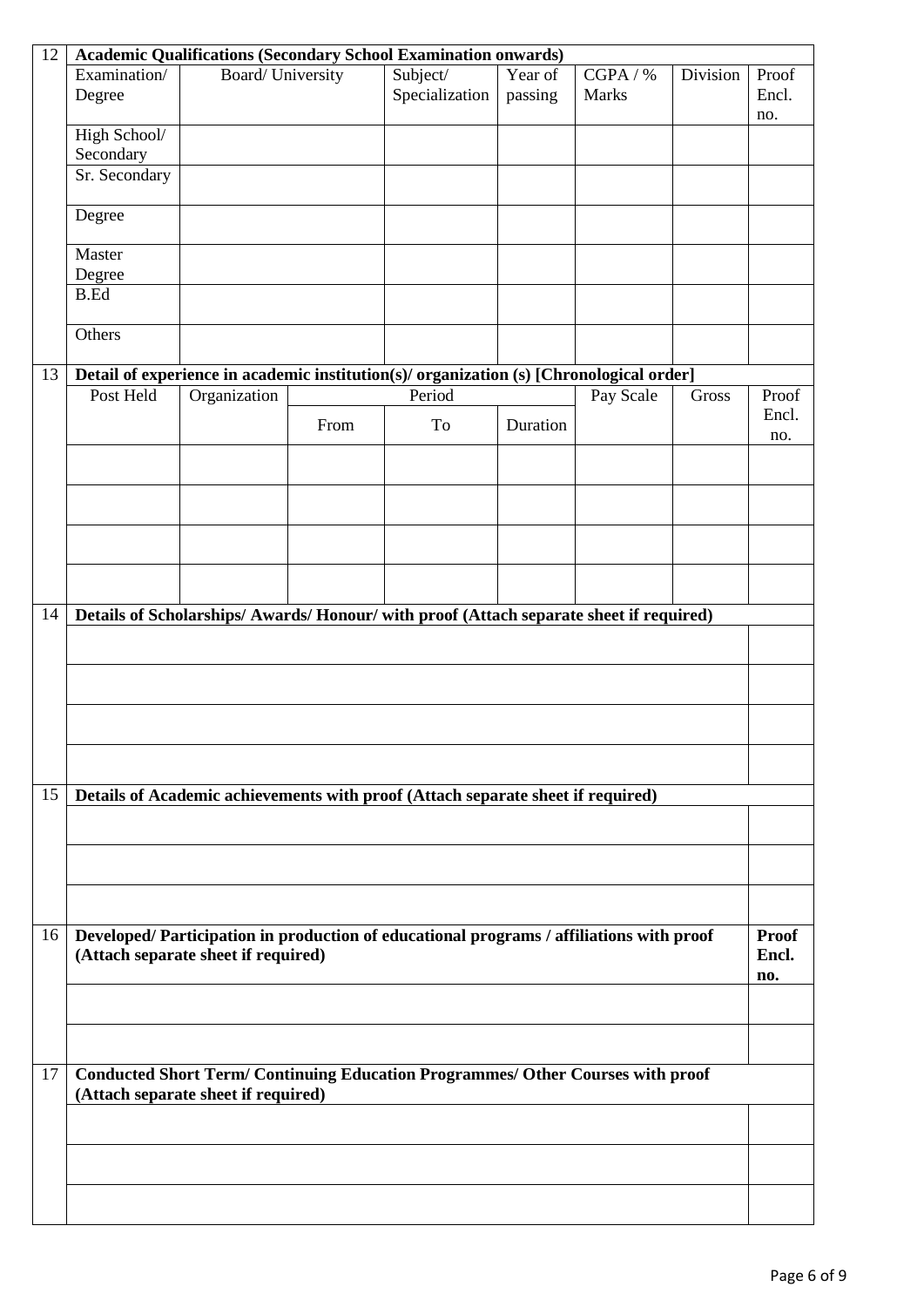| 12                                          | <b>Academic Qualifications (Secondary School Examination onwards)</b>                                                          |                                     |                            |                                                                                         |                   |           |                |              |
|---------------------------------------------|--------------------------------------------------------------------------------------------------------------------------------|-------------------------------------|----------------------------|-----------------------------------------------------------------------------------------|-------------------|-----------|----------------|--------------|
| Examination/<br>Board/ University<br>Degree |                                                                                                                                |                                     | Subject/<br>Specialization | Year of<br>passing                                                                      | CGPA / %<br>Marks | Division  | Proof<br>Encl. |              |
|                                             |                                                                                                                                |                                     |                            |                                                                                         |                   |           |                | no.          |
|                                             | High School/<br>Secondary                                                                                                      |                                     |                            |                                                                                         |                   |           |                |              |
|                                             | Sr. Secondary                                                                                                                  |                                     |                            |                                                                                         |                   |           |                |              |
|                                             | Degree                                                                                                                         |                                     |                            |                                                                                         |                   |           |                |              |
|                                             | Master<br>Degree                                                                                                               |                                     |                            |                                                                                         |                   |           |                |              |
|                                             | <b>B.Ed</b>                                                                                                                    |                                     |                            |                                                                                         |                   |           |                |              |
|                                             | Others                                                                                                                         |                                     |                            |                                                                                         |                   |           |                |              |
| 13                                          |                                                                                                                                |                                     |                            | Detail of experience in academic institution(s)/ organization (s) [Chronological order] |                   |           |                |              |
|                                             | Post Held                                                                                                                      | Organization                        |                            | Period                                                                                  |                   | Pay Scale | Gross          | Proof        |
|                                             |                                                                                                                                |                                     | From                       | To                                                                                      | Duration          |           |                | Encl.<br>no. |
|                                             |                                                                                                                                |                                     |                            |                                                                                         |                   |           |                |              |
|                                             |                                                                                                                                |                                     |                            |                                                                                         |                   |           |                |              |
|                                             |                                                                                                                                |                                     |                            |                                                                                         |                   |           |                |              |
|                                             |                                                                                                                                |                                     |                            |                                                                                         |                   |           |                |              |
| 14                                          |                                                                                                                                |                                     |                            | Details of Scholarships/ Awards/ Honour/ with proof (Attach separate sheet if required) |                   |           |                |              |
|                                             |                                                                                                                                |                                     |                            |                                                                                         |                   |           |                |              |
|                                             |                                                                                                                                |                                     |                            |                                                                                         |                   |           |                |              |
|                                             |                                                                                                                                |                                     |                            |                                                                                         |                   |           |                |              |
|                                             |                                                                                                                                |                                     |                            |                                                                                         |                   |           |                |              |
| 15                                          |                                                                                                                                |                                     |                            | Details of Academic achievements with proof (Attach separate sheet if required)         |                   |           |                |              |
|                                             |                                                                                                                                |                                     |                            |                                                                                         |                   |           |                |              |
|                                             |                                                                                                                                |                                     |                            |                                                                                         |                   |           |                |              |
|                                             |                                                                                                                                |                                     |                            |                                                                                         |                   |           |                |              |
| 16                                          |                                                                                                                                |                                     |                            |                                                                                         |                   |           |                | <b>Proof</b> |
|                                             | Developed/Participation in production of educational programs / affiliations with proof<br>(Attach separate sheet if required) |                                     |                            |                                                                                         |                   |           |                |              |
|                                             |                                                                                                                                |                                     |                            |                                                                                         |                   |           |                |              |
|                                             |                                                                                                                                |                                     |                            |                                                                                         |                   |           |                |              |
| 17                                          |                                                                                                                                | (Attach separate sheet if required) |                            | <b>Conducted Short Term/ Continuing Education Programmes/ Other Courses with proof</b>  |                   |           |                |              |
|                                             |                                                                                                                                |                                     |                            |                                                                                         |                   |           |                |              |
|                                             |                                                                                                                                |                                     |                            |                                                                                         |                   |           |                |              |
|                                             |                                                                                                                                |                                     |                            |                                                                                         |                   |           |                |              |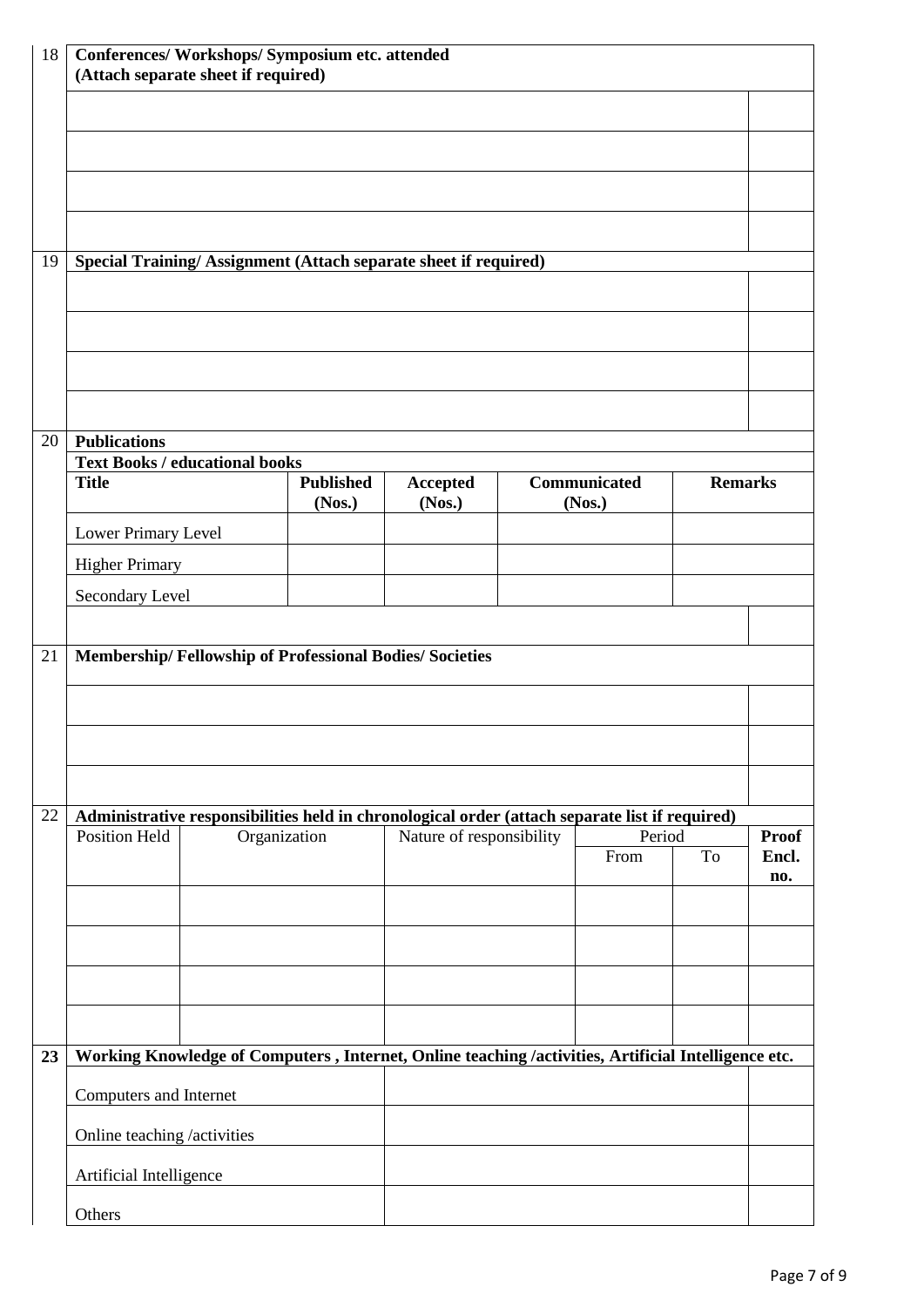| 18 | Conferences/ Workshops/ Symposium etc. attended<br>(Attach separate sheet if required) |              |                            |                                                                                                     |  |                        |    |                |  |  |  |
|----|----------------------------------------------------------------------------------------|--------------|----------------------------|-----------------------------------------------------------------------------------------------------|--|------------------------|----|----------------|--|--|--|
|    |                                                                                        |              |                            |                                                                                                     |  |                        |    |                |  |  |  |
|    |                                                                                        |              |                            |                                                                                                     |  |                        |    |                |  |  |  |
|    |                                                                                        |              |                            |                                                                                                     |  |                        |    |                |  |  |  |
|    |                                                                                        |              |                            |                                                                                                     |  |                        |    |                |  |  |  |
| 19 |                                                                                        |              |                            | Special Training/Assignment (Attach separate sheet if required)                                     |  |                        |    |                |  |  |  |
|    |                                                                                        |              |                            |                                                                                                     |  |                        |    |                |  |  |  |
|    |                                                                                        |              |                            |                                                                                                     |  |                        |    |                |  |  |  |
|    |                                                                                        |              |                            |                                                                                                     |  |                        |    |                |  |  |  |
| 20 | <b>Publications</b>                                                                    |              |                            |                                                                                                     |  |                        |    |                |  |  |  |
|    | <b>Text Books / educational books</b>                                                  |              |                            |                                                                                                     |  |                        |    |                |  |  |  |
|    | <b>Title</b>                                                                           |              | <b>Published</b><br>(Nos.) | <b>Accepted</b><br>(Nos.)                                                                           |  | Communicated<br>(Nos.) |    | <b>Remarks</b> |  |  |  |
|    | Lower Primary Level                                                                    |              |                            |                                                                                                     |  |                        |    |                |  |  |  |
|    | <b>Higher Primary</b>                                                                  |              |                            |                                                                                                     |  |                        |    |                |  |  |  |
|    | Secondary Level                                                                        |              |                            |                                                                                                     |  |                        |    |                |  |  |  |
|    |                                                                                        |              |                            |                                                                                                     |  |                        |    |                |  |  |  |
| 21 | Membership/Fellowship of Professional Bodies/Societies                                 |              |                            |                                                                                                     |  |                        |    |                |  |  |  |
|    |                                                                                        |              |                            |                                                                                                     |  |                        |    |                |  |  |  |
|    |                                                                                        |              |                            |                                                                                                     |  |                        |    |                |  |  |  |
|    |                                                                                        |              |                            |                                                                                                     |  |                        |    |                |  |  |  |
| 22 |                                                                                        |              |                            | Administrative responsibilities held in chronological order (attach separate list if required)      |  | Period                 |    |                |  |  |  |
|    | <b>Position Held</b>                                                                   | Organization |                            | Nature of responsibility                                                                            |  |                        |    | <b>Proof</b>   |  |  |  |
|    |                                                                                        |              |                            |                                                                                                     |  | From                   | To | Encl.<br>no.   |  |  |  |
|    |                                                                                        |              |                            |                                                                                                     |  |                        |    |                |  |  |  |
|    |                                                                                        |              |                            |                                                                                                     |  |                        |    |                |  |  |  |
|    |                                                                                        |              |                            |                                                                                                     |  |                        |    |                |  |  |  |
|    |                                                                                        |              |                            |                                                                                                     |  |                        |    |                |  |  |  |
| 23 |                                                                                        |              |                            | Working Knowledge of Computers, Internet, Online teaching /activities, Artificial Intelligence etc. |  |                        |    |                |  |  |  |
|    | Computers and Internet                                                                 |              |                            |                                                                                                     |  |                        |    |                |  |  |  |
|    | Online teaching /activities                                                            |              |                            |                                                                                                     |  |                        |    |                |  |  |  |
|    | Artificial Intelligence                                                                |              |                            |                                                                                                     |  |                        |    |                |  |  |  |
|    | Others                                                                                 |              |                            |                                                                                                     |  |                        |    |                |  |  |  |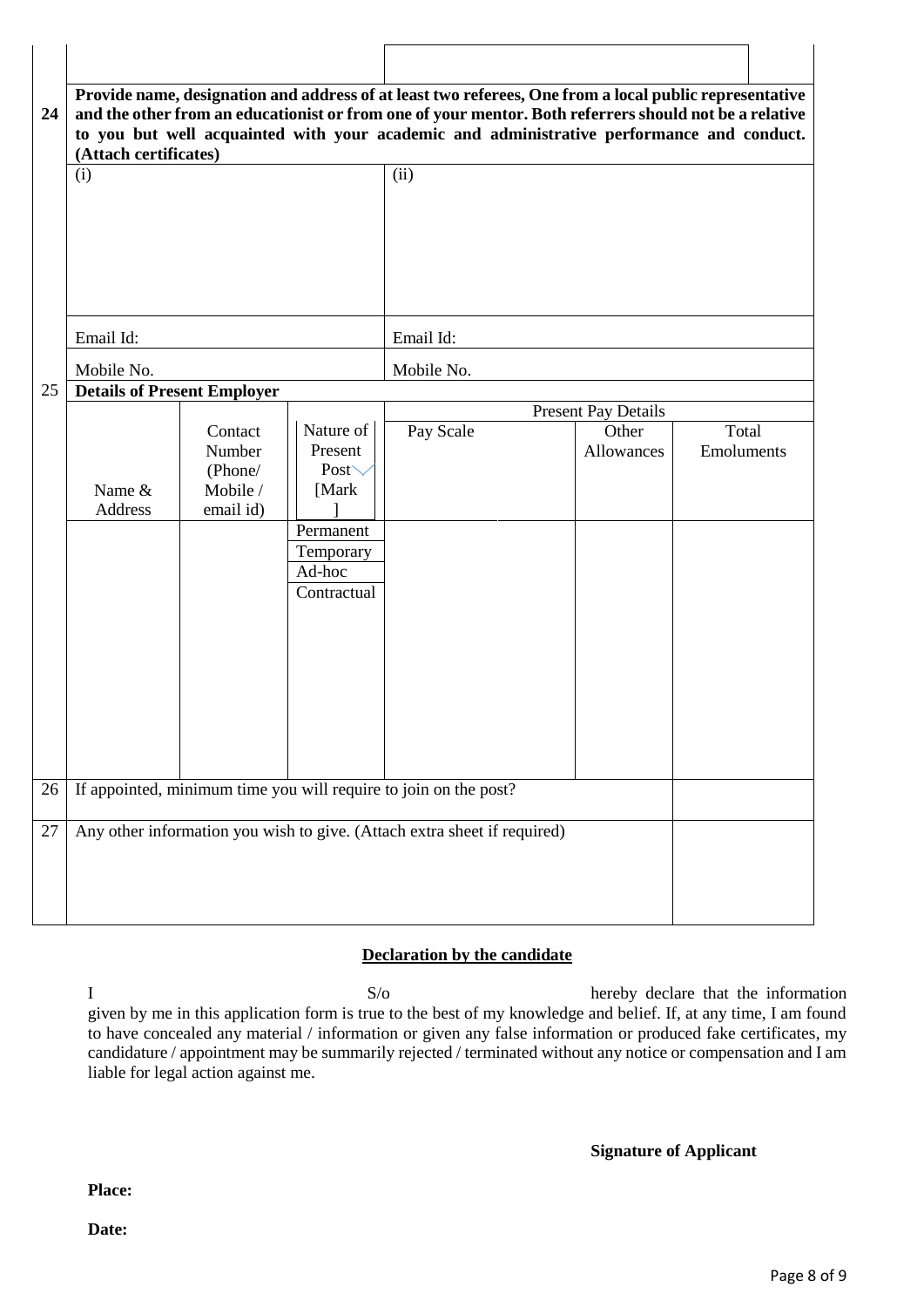| 24 | (Attach certificates)              |                                                       |                                                                                                     | Provide name, designation and address of at least two referees, One from a local public representative<br>and the other from an educationist or from one of your mentor. Both referrers should not be a relative<br>to you but well acquainted with your academic and administrative performance and conduct. |                            |                     |
|----|------------------------------------|-------------------------------------------------------|-----------------------------------------------------------------------------------------------------|---------------------------------------------------------------------------------------------------------------------------------------------------------------------------------------------------------------------------------------------------------------------------------------------------------------|----------------------------|---------------------|
|    | (i)                                |                                                       |                                                                                                     | (ii)                                                                                                                                                                                                                                                                                                          |                            |                     |
|    | Email Id:                          |                                                       |                                                                                                     | Email Id:                                                                                                                                                                                                                                                                                                     |                            |                     |
| 25 | Mobile No.                         |                                                       |                                                                                                     | Mobile No.                                                                                                                                                                                                                                                                                                    |                            |                     |
|    | <b>Details of Present Employer</b> |                                                       |                                                                                                     |                                                                                                                                                                                                                                                                                                               | <b>Present Pay Details</b> |                     |
|    | Name &<br>Address                  | Contact<br>Number<br>(Phone/<br>Mobile /<br>email id) | Nature of<br>Present<br>Post $\searrow$<br>[Mark<br>Permanent<br>Temporary<br>Ad-hoc<br>Contractual | Pay Scale                                                                                                                                                                                                                                                                                                     | Other<br>Allowances        | Total<br>Emoluments |
| 26 |                                    |                                                       |                                                                                                     | If appointed, minimum time you will require to join on the post?                                                                                                                                                                                                                                              |                            |                     |
| 27 |                                    |                                                       |                                                                                                     | Any other information you wish to give. (Attach extra sheet if required)                                                                                                                                                                                                                                      |                            |                     |

# **Declaration by the candidate**

I S/o hereby declare that the information given by me in this application form is true to the best of my knowledge and belief. If, at any time, I am found to have concealed any material / information or given any false information or produced fake certificates, my candidature / appointment may be summarily rejected / terminated without any notice or compensation and I am liable for legal action against me.

**Signature of Applicant**

#### **Place:**